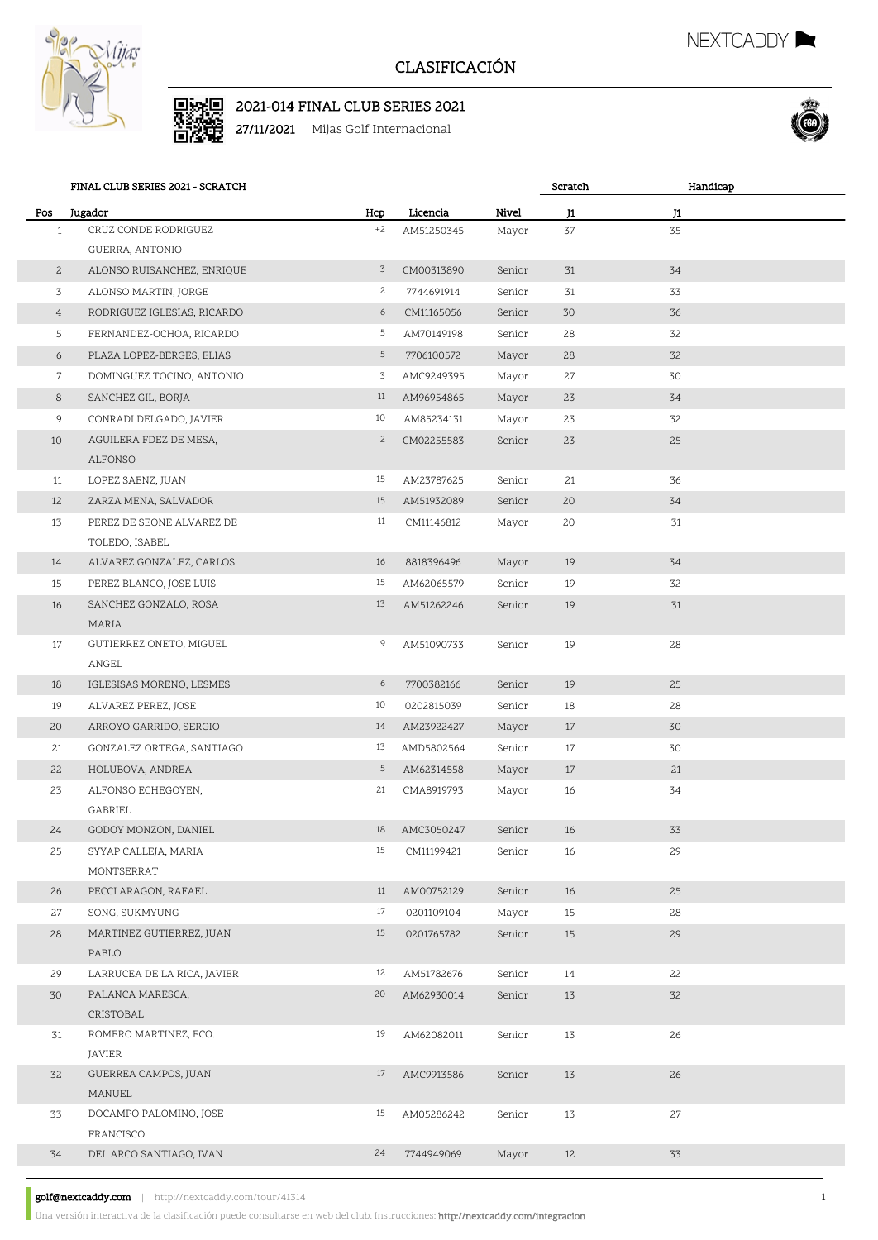

## CLASIFICACIÓN

Scratch

NEXTCADDY

Handicap



27/11/2021 Mijas Golf Internacional



FINAL CLUB SERIES 2021 - SCRATCH

| Pos             | Jugador                                      | Hcp            | Licencia                 | Nivel            | J1 | J1 |  |
|-----------------|----------------------------------------------|----------------|--------------------------|------------------|----|----|--|
| $\mathbf{1}$    | CRUZ CONDE RODRIGUEZ                         | $+2$           | AM51250345               | Mayor            | 37 | 35 |  |
|                 | GUERRA, ANTONIO                              |                |                          |                  |    |    |  |
| $\mathbf{2}$    | ALONSO RUISANCHEZ, ENRIQUE                   | $\overline{3}$ | CM00313890               | Senior           | 31 | 34 |  |
| 3               | ALONSO MARTIN, JORGE                         | $\mathbf{2}$   | 7744691914               | Senior           | 31 | 33 |  |
| $\overline{4}$  | RODRIGUEZ IGLESIAS, RICARDO                  | 6              | CM11165056               | Senior           | 30 | 36 |  |
| 5               | FERNANDEZ-OCHOA, RICARDO                     | 5              | AM70149198               | Senior           | 28 | 32 |  |
| 6               | PLAZA LOPEZ-BERGES, ELIAS                    | 5              | 7706100572               | Mayor            | 28 | 32 |  |
| $7\overline{ }$ | DOMINGUEZ TOCINO, ANTONIO                    | 3              | AMC9249395               | Mayor            | 27 | 30 |  |
| 8               | SANCHEZ GIL, BORJA                           | 11             | AM96954865               | Mayor            | 23 | 34 |  |
| 9               | CONRADI DELGADO, JAVIER                      | 10             | AM85234131               | Mayor            | 23 | 32 |  |
| 10              | AGUILERA FDEZ DE MESA,                       | $\mathbf{2}$   | CM02255583               | Senior           | 23 | 25 |  |
|                 | ALFONSO                                      |                |                          |                  |    |    |  |
| 11              | LOPEZ SAENZ, JUAN                            | 15             | AM23787625               | Senior           | 21 | 36 |  |
| 12              | ZARZA MENA, SALVADOR                         | 15             | AM51932089               | Senior           | 20 | 34 |  |
| 13              | PEREZ DE SEONE ALVAREZ DE                    | 11             | CM11146812               | Mayor            | 20 | 31 |  |
|                 | TOLEDO, ISABEL                               |                |                          |                  |    |    |  |
| 14              | ALVAREZ GONZALEZ, CARLOS                     | 16             | 8818396496               | Mayor            | 19 | 34 |  |
| 15              | PEREZ BLANCO, JOSE LUIS                      | 15             | AM62065579               | Senior           | 19 | 32 |  |
| 16              | SANCHEZ GONZALO, ROSA<br>MARIA               | 13             | AM51262246               | Senior           | 19 | 31 |  |
| 17              | GUTIERREZ ONETO, MIGUEL                      | 9              | AM51090733               | Senior           | 19 | 28 |  |
|                 | ANGEL                                        |                |                          |                  |    |    |  |
| 18              | IGLESISAS MORENO, LESMES                     | 6              | 7700382166               | Senior           | 19 | 25 |  |
| 19              | ALVAREZ PEREZ, JOSE                          | 10             | 0202815039               | Senior           | 18 | 28 |  |
| 20              | ARROYO GARRIDO, SERGIO                       | 14             | AM23922427               | Mayor            | 17 | 30 |  |
| 21              | GONZALEZ ORTEGA, SANTIAGO                    | 13             | AMD5802564               | Senior           | 17 | 30 |  |
| 22              | HOLUBOVA, ANDREA                             | 5              | AM62314558               | Mayor            | 17 | 21 |  |
| 23              | ALFONSO ECHEGOYEN,                           | 21             | CMA8919793               | Mayor            | 16 | 34 |  |
| 24              | GABRIEL                                      | 18             |                          |                  | 16 | 33 |  |
| 25              | GODOY MONZON, DANIEL<br>SYYAP CALLEJA, MARIA | 15             | AMC3050247<br>CM11199421 | Senior<br>Senior | 16 | 29 |  |
|                 | MONTSERRAT                                   |                |                          |                  |    |    |  |
| 26              | PECCI ARAGON, RAFAEL                         | 11             | AM00752129               | Senior           | 16 | 25 |  |
| 27              | SONG, SUKMYUNG                               | 17             | 0201109104               | Mayor            | 15 | 28 |  |
| 28              | MARTINEZ GUTIERREZ, JUAN                     | 15             | 0201765782               | Senior           | 15 | 29 |  |
|                 | PABLO                                        |                |                          |                  |    |    |  |
| 29              | LARRUCEA DE LA RICA, JAVIER                  | 12             | AM51782676               | Senior           | 14 | 22 |  |
| 30              | PALANCA MARESCA,                             | 20             | AM62930014               | Senior           | 13 | 32 |  |
|                 | CRISTOBAL                                    |                |                          |                  |    |    |  |
| 31              | ROMERO MARTINEZ, FCO.                        | 19             | AM62082011               | Senior           | 13 | 26 |  |
|                 | JAVIER                                       |                |                          |                  |    |    |  |
| 32              | GUERREA CAMPOS, JUAN                         | 17             | AMC9913586               | Senior           | 13 | 26 |  |
|                 | MANUEL                                       |                |                          |                  |    |    |  |
| 33              | DOCAMPO PALOMINO, JOSE                       | 15             | AM05286242               | Senior           | 13 | 27 |  |
|                 | FRANCISCO                                    |                |                          |                  |    |    |  |
| 34              | DEL ARCO SANTIAGO, IVAN                      | 24             | 7744949069               | Mayor            | 12 | 33 |  |

golf@nextcaddy.com | http://nextcaddy.com/tour/41314 1